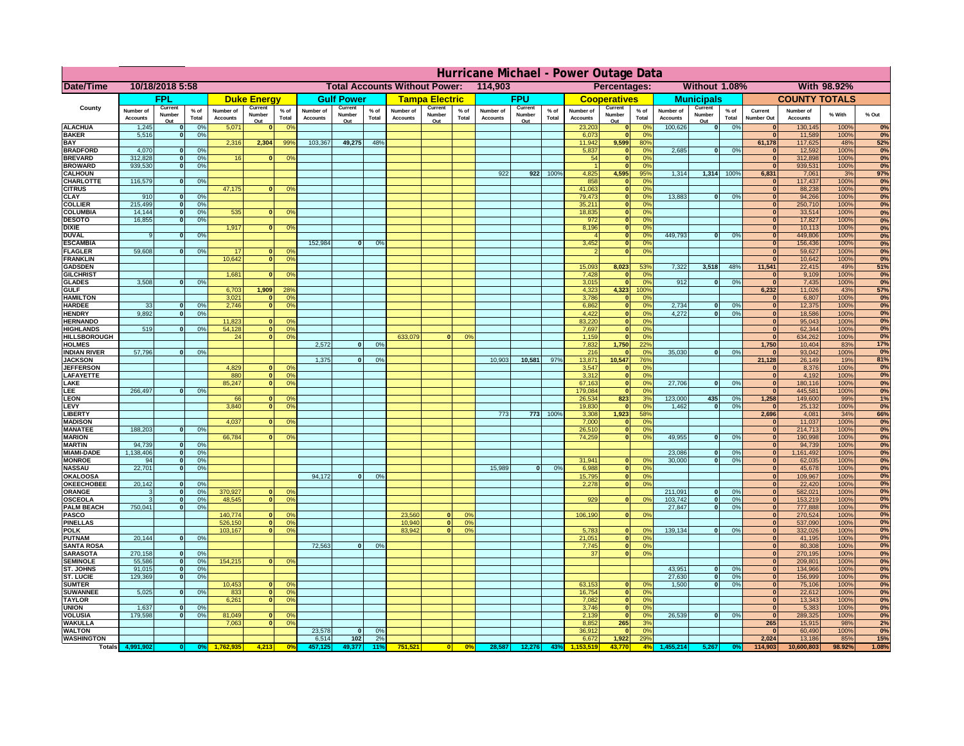|                                     | Hurricane Michael - Power Outage Data |                          |                    |                              |                          |                                         |                                                 |                          |                 |                              |                          |                               |                              |                          |                 |                              |                                          |                             |                              |                            |                 |                                |                              |              |           |
|-------------------------------------|---------------------------------------|--------------------------|--------------------|------------------------------|--------------------------|-----------------------------------------|-------------------------------------------------|--------------------------|-----------------|------------------------------|--------------------------|-------------------------------|------------------------------|--------------------------|-----------------|------------------------------|------------------------------------------|-----------------------------|------------------------------|----------------------------|-----------------|--------------------------------|------------------------------|--------------|-----------|
| Date/Time                           | 10/18/2018 5:58                       |                          |                    |                              |                          |                                         | <b>Total Accounts Without Power:</b><br>114,903 |                          |                 |                              |                          | Percentages:<br>Without 1.08% |                              |                          |                 |                              |                                          |                             | With 98.92%                  |                            |                 |                                |                              |              |           |
|                                     | <b>FPL</b>                            |                          | <b>Duke Energy</b> |                              | <b>Gulf Power</b>        |                                         | <b>Tampa Electric</b>                           |                          | <b>FPU</b>      |                              |                          | <b>Cooperatives</b>           |                              | <b>Municipals</b>        |                 |                              | <b>COUNTY TOTALS</b>                     |                             |                              |                            |                 |                                |                              |              |           |
| County                              | Number of<br><b>Accounts</b>          | Current<br>Number<br>Out | $%$ of<br>Total    | Number of<br><b>Accounts</b> | Current<br>Number<br>Out | $%$ of<br>Total                         | Number of<br><b>Accounts</b>                    | Current<br>Number<br>Out | $%$ of<br>Total | Number of<br><b>Accounts</b> | Current<br>Number<br>Out | % of<br>Total                 | Number of<br><b>Accounts</b> | Current<br>Number<br>Out | $%$ of<br>Total | Number of<br><b>Accounts</b> | Current<br>Number<br>Out                 | $%$ of<br>Total             | Number of<br><b>Accounts</b> | Current<br>Number<br>Out   | $%$ of<br>Total | Current<br><b>Number Out</b>   | Number of<br><b>Accounts</b> | % With       | % Out     |
| <b>ALACHUA</b>                      | 1,245                                 | $\mathbf 0$              | 0%                 | 5,071                        |                          | 0 <sup>o</sup>                          |                                                 |                          |                 |                              |                          |                               |                              |                          |                 | 23,203                       |                                          | 0%                          | 100,626                      | 0                          | 0%              |                                | 130,145                      | 100%         | 0%        |
| <b>BAKER</b><br><b>BAY</b>          | 5,516                                 | $\mathbf 0$              | 0%                 | 2,316                        | 2,304                    | 99%                                     | 103,367                                         | 49,275                   | 48%             |                              |                          |                               |                              |                          |                 | 6,073<br>11,942              | 9,599                                    | 0%<br>80%                   |                              |                            |                 | $\mathbf{0}$<br>61,178         | 11,589<br>117,625            | 100%<br>48%  | 0%<br>52% |
| <b>BRADFORD</b>                     | 4,070                                 | $\mathbf{0}$             | 0%                 |                              |                          |                                         |                                                 |                          |                 |                              |                          |                               |                              |                          |                 | 5,837                        | $\mathbf{0}$                             | 0 <sup>9</sup>              | 2,685                        | 0                          | 0%              |                                | 12,592                       | 100%         | 0%        |
| <b>BREVARD</b>                      | 312,828                               | $\mathbf{0}$             | 0%                 | 16                           |                          | 0 <sup>9</sup>                          |                                                 |                          |                 |                              |                          |                               |                              |                          |                 | 54                           | $\mathbf{0}$                             | 0 <sup>9</sup>              |                              |                            |                 | $\mathbf{0}$                   | 312,898                      | 100%         | 0%        |
| <b>BROWARD</b>                      | 939,530                               | $\mathbf{0}$             | 0%                 |                              |                          |                                         |                                                 |                          |                 |                              |                          |                               |                              |                          |                 |                              | $\mathbf{r}$                             | 0 <sup>9</sup>              |                              |                            |                 | $\Omega$                       | 939,531                      | 100%         | 0%        |
| <b>CALHOUN</b>                      | 116,579                               | $\Omega$                 |                    |                              |                          |                                         |                                                 |                          |                 |                              |                          |                               | 922                          | 922                      | 100%            | 4,825<br>858                 | 4,595<br>$\Omega$                        | 95%<br>0 <sup>9</sup>       | 1,314                        | 1,314                      | 100%            | 6,831<br>$\bf{0}$              | 7,061<br>117,437             | 3%<br>100%   | 97%       |
| <b>CHARLOTTE</b><br><b>CITRUS</b>   |                                       |                          | 0%                 | 47,175                       | $\Omega$                 | 0 <sup>9</sup>                          |                                                 |                          |                 |                              |                          |                               |                              |                          |                 | 41,063                       | $\mathbf{0}$                             | 0 <sup>9</sup>              |                              |                            |                 | $\mathbf{0}$                   | 88,238                       | 100%         | 0%<br>0%  |
| <b>CLAY</b>                         | 910                                   | $\mathbf{o}$             | 0%                 |                              |                          |                                         |                                                 |                          |                 |                              |                          |                               |                              |                          |                 | 79,473                       | $\mathbf{0}$                             | 0%                          | 13,883                       | 0                          | 0%              | $\mathbf{0}$                   | 94,266                       | 100%         | 0%        |
| <b>COLLIER</b>                      | 215,499                               | 0                        | 0%                 |                              |                          |                                         |                                                 |                          |                 |                              |                          |                               |                              |                          |                 | 35,211                       | $\mathbf{0}$                             | 0%                          |                              |                            |                 | $\mathbf{0}$                   | 250,710                      | 100%         | 0%        |
| <b>COLUMBIA</b>                     | 14,144                                | $\mathbf{o}$             | 0%                 | 535                          |                          | 0 <sup>9</sup>                          |                                                 |                          |                 |                              |                          |                               |                              |                          |                 | 18,835                       | $\mathbf{0}$                             | 0%<br>0%                    |                              |                            |                 | $\mathbf{0}$<br>$\overline{0}$ | 33,514                       | 100%         | 0%        |
| <b>DESOTO</b><br><b>DIXIE</b>       | 16,855                                | $\Omega$                 | 0%                 | 1,917                        | $\Omega$                 | 0 <sup>9</sup>                          |                                                 |                          |                 |                              |                          |                               |                              |                          |                 | 972<br>8,196                 | $\mathbf{0}$<br>$\overline{\phantom{a}}$ | 0%                          |                              |                            |                 | $\overline{0}$                 | 17,827<br>10,113             | 100%<br>100% | 0%<br>0%  |
| <b>DUVAL</b>                        | 9                                     | $\Omega$                 | 0%                 |                              |                          |                                         |                                                 |                          |                 |                              |                          |                               |                              |                          |                 |                              | $\overline{\mathbf{0}}$                  | 0%                          | 449.793                      | $\overline{0}$             | 0%              | $\overline{0}$                 | 449,806                      | 100%         | 0%        |
| <b>ESCAMBIA</b>                     |                                       |                          |                    |                              |                          |                                         | 152.984                                         | $\Omega$                 | O <sup>o</sup>  |                              |                          |                               |                              |                          |                 | 3,452                        | ō                                        | 0%                          |                              |                            |                 | $\overline{0}$                 | 156,436                      | 100%         | 0%        |
| <b>FLAGLER</b>                      | 59.608                                | $\Omega$                 | 0%                 | 17                           |                          | $\mathbf{0}$<br>0 <sup>9</sup>          |                                                 |                          |                 |                              |                          |                               |                              |                          |                 |                              | $\overline{\mathbf{0}}$                  | 0%                          |                              |                            |                 | $\overline{0}$                 | 59,627                       | 100%         | 0%        |
| <b>FRANKLIN</b><br><b>GADSDEN</b>   |                                       |                          |                    | 10.642                       |                          | 0 <br>0 <sup>9</sup>                    |                                                 |                          |                 |                              |                          |                               |                              |                          |                 | 15.093                       | 8,023                                    | 53%                         | 7.322                        | 3.518                      | 48%             | $\overline{0}$<br>11,541       | 10,642<br>22,415             | 100%<br>49%  | 0%<br>51% |
| <b>GILCHRIST</b>                    |                                       |                          |                    | 1,681                        |                          | 0 <sup>9</sup>                          |                                                 |                          |                 |                              |                          |                               |                              |                          |                 | 7,428                        |                                          | 0 <sup>9</sup>              |                              |                            |                 | $\Omega$                       | 9,109                        | 100%         | 0%        |
| <b>GLADES</b>                       | 3,508                                 | $\mathbf{0}$             | 0%                 |                              |                          |                                         |                                                 |                          |                 |                              |                          |                               |                              |                          |                 | 3,015                        | $\mathbf{r}$                             | 0 <sup>9</sup>              | 912                          | $\bf{0}$                   | 0%              | $\mathbf{0}$                   | 7,435                        | 100%         | 0%        |
| <b>GULF</b>                         |                                       |                          |                    | 6,703                        | 1,909                    | 28 <sup>o</sup>                         |                                                 |                          |                 |                              |                          |                               |                              |                          |                 | 4,323                        | 4,323                                    | 100%                        |                              |                            |                 | 6,232                          | 11,026                       | 43%          | 57%       |
| <b>HAMILTON</b><br><b>HARDEE</b>    | 33                                    |                          | 0%                 | 3,021<br>2,746               | $\mathbf{0}$             | 0 <sup>9</sup><br> 0 <br>0 <sup>9</sup> |                                                 |                          |                 |                              |                          |                               |                              |                          |                 | 3,786<br>6,862               | $\mathbf{0}$<br>$\mathbf{0}$             | 0%<br>0%                    | 2,734                        | $\mathbf{0}$               | 0%              | $\mathbf{0}$<br>$\overline{0}$ | 6,807<br>12,375              | 100%<br>100% | 0%<br>0%  |
| <b>HENDRY</b>                       | 9.892                                 | nl                       | 0%                 |                              |                          |                                         |                                                 |                          |                 |                              |                          |                               |                              |                          |                 | 4,422                        | $\mathbf{0}$                             | 0%                          | 4.272                        | $\mathbf{0}$               | 0%              | 0                              | 18,586                       | 100%         | 0%        |
| <b>HERNANDO</b>                     |                                       |                          |                    | 11.823                       | $\Omega$                 | 0 <sup>9</sup>                          |                                                 |                          |                 |                              |                          |                               |                              |                          |                 | 83,220                       | $\Omega$                                 | 0%                          |                              |                            |                 | 0                              | 95,043                       | 100%         | 0%        |
| <b>HIGHLANDS</b>                    | 519                                   | $\mathbf{v}$             | 0%                 | 54.128                       |                          | 0 <sup>9</sup><br> 0                    |                                                 |                          |                 |                              |                          |                               |                              |                          |                 | 7.697                        | $\Omega$                                 | 0%                          |                              |                            |                 | 0                              | 62.344                       | 100%         | 0%        |
| <b>HILLSBOROUGH</b>                 |                                       |                          |                    | 24                           | 0                        | 0%                                      |                                                 |                          |                 | 633,079                      | $\Omega$                 | 0%                            |                              |                          |                 | 1.159                        | $\Omega$                                 | 0%                          |                              |                            |                 | $\mathbf{0}$                   | 634.262                      | 100%         | 0%        |
| <b>HOLMES</b><br>INDIAN RIVER       | 57,796                                |                          | 0%                 |                              |                          |                                         | 2.572                                           | $\Omega$                 | 0%              |                              |                          |                               |                              |                          |                 | 7.832<br>216                 | 1,750                                    | 22%<br>0 <sup>9</sup>       | 35,030                       | $\mathbf{a}$               | 0%              | 1.750<br>$\mathbf{0}$          | 10.404<br>93,042             | 83%<br>100%  | 17%<br>0% |
| <b>JACKSON</b>                      |                                       |                          |                    |                              |                          |                                         | 1,375                                           | $\mathbf{0}$             | 0%              |                              |                          |                               | 10,903                       | 10,581                   | 97%             | 13,871                       | 10,547                                   | 76%                         |                              |                            |                 | 21,128                         | 26,149                       | 19%          | 81%       |
| <b>JEFFERSON</b>                    |                                       |                          |                    | 4,829                        | $\mathbf{0}$             | 0 <sup>9</sup>                          |                                                 |                          |                 |                              |                          |                               |                              |                          |                 | 3,547                        |                                          | 0 <sup>9</sup>              |                              |                            |                 | $\mathbf{0}$                   | 8,376                        | 100%         | 0%        |
| <b>LAFAYETTE</b>                    |                                       |                          |                    | 880                          |                          | 0 <br>0 <sup>9</sup>                    |                                                 |                          |                 |                              |                          |                               |                              |                          |                 | 3,312                        |                                          | 0%                          |                              |                            |                 | 0                              | 4,192                        | 100%         | 0%        |
| LAKE<br>LEE                         | 266,497                               |                          | 0%                 | 85,247                       | $\Omega$                 | 0 <sup>9</sup>                          |                                                 |                          |                 |                              |                          |                               |                              |                          |                 | 67,163<br>179,084            |                                          | 0%<br>0%                    | 27,706                       | $\mathbf{a}$               | 0%              | 0 <br>$\mathbf{0}$             | 180,116<br>445,581           | 100%<br>100% | 0%<br>0%  |
| LEON                                |                                       |                          |                    | 66                           | $\Omega$                 | $^{\circ}$                              |                                                 |                          |                 |                              |                          |                               |                              |                          |                 | 26,534                       | 823                                      | 3%                          | 123,000                      | 435                        | 0%              | 1,258                          | 149,600                      | 99%          | 1%        |
| LEVY                                |                                       |                          |                    | 3,840                        | $\Omega$                 | 0 <sup>9</sup>                          |                                                 |                          |                 |                              |                          |                               |                              |                          |                 | 19,830                       |                                          | 0 <sup>9</sup>              | 1,462                        | $\Omega$                   | 0%              | $\Omega$                       | 25,132                       | 100%         | 0%        |
| <b>LIBERTY</b>                      |                                       |                          |                    |                              |                          |                                         |                                                 |                          |                 |                              |                          |                               | 773                          | 773                      | 100%            | 3,308                        | 1,923                                    | 58%                         |                              |                            |                 | 2,696                          | 4,081                        | 34%          | 66%       |
| <b>MADISON</b><br><b>MANATEE</b>    | 188,203                               | 0                        | 0%                 | 4,037                        |                          | 0 <sup>9</sup>                          |                                                 |                          |                 |                              |                          |                               |                              |                          |                 | 7,000<br>26,510              | $\mathbf{0}$                             | 0%<br>0%                    |                              |                            |                 | $\mathbf{0}$<br>$\bf{0}$       | 11,037<br>214,713            | 100%<br>100% | 0%<br>0%  |
| <b>MARION</b>                       |                                       |                          |                    | 66,784                       |                          | 0 <sup>9</sup>                          |                                                 |                          |                 |                              |                          |                               |                              |                          |                 | 74,259                       | $\mathbf{0}$                             | 0 <sup>9</sup>              | 49,955                       | $\Omega$                   | 0%              | 0                              | 190,998                      | 100%         | 0%        |
| <b>MARTIN</b>                       | 94,739                                | 0                        | 0%                 |                              |                          |                                         |                                                 |                          |                 |                              |                          |                               |                              |                          |                 |                              |                                          |                             |                              |                            |                 | 0                              | 94,739                       | 100%         | 0%        |
| <b>MIAMI-DADE</b>                   | 1,138,406                             | 0                        | 0%                 |                              |                          |                                         |                                                 |                          |                 |                              |                          |                               |                              |                          |                 |                              |                                          |                             | 23,086                       | 0                          | 0%              | 0                              | 1,161,492                    | 100%         | 0%        |
| <b>MONROE</b>                       | 94<br>22,701                          | 0                        | 0%<br>0%           |                              |                          |                                         |                                                 |                          |                 |                              |                          |                               | 15,989                       |                          | 0%              | 31,941                       | $\mathbf{0}$                             | $\Omega$ <sup>o</sup><br>0% | 30,000                       | $\Omega$                   | 0%              | 0 <br>$\mathbf{0}$             | 62,035                       | 100%<br>100% | 0%<br>0%  |
| <b>NASSAU</b><br><b>OKALOOSA</b>    |                                       | 0                        |                    |                              |                          |                                         | 94,172                                          | $\mathbf{0}$             | 0%              |                              |                          |                               |                              | 0                        |                 | 6,988<br>15,795              | 0 <br> 0                                 | 0%                          |                              |                            |                 | $\mathbf{0}$                   | 45,678<br>109,967            | 100%         | 0%        |
| <b>OKEECHOBEE</b>                   | 20,142                                | $\Omega$                 | 0%                 |                              |                          |                                         |                                                 |                          |                 |                              |                          |                               |                              |                          |                 | 2,278                        | 0                                        | 0%                          |                              |                            |                 | $\mathbf{0}$                   | 22,420                       | 100%         | 0%        |
| <b>ORANGE</b>                       | 3                                     | 0                        | 0%                 | 370,927                      | $\mathbf{0}$             | 0 <sup>o</sup>                          |                                                 |                          |                 |                              |                          |                               |                              |                          |                 |                              |                                          |                             | 211,091                      | $\mathbf{0}$               | 0%              | $\mathbf{0}$                   | 582,021                      | 100%         | 0%        |
| <b>OSCEOLA</b><br><b>PALM BEACH</b> | 3<br>750,041                          | 0 <br> 0                 | 0%<br>0%           | 48,545                       | $\Omega$                 | 0 <sup>9</sup>                          |                                                 |                          |                 |                              |                          |                               |                              |                          |                 | 929                          | ol                                       | 0 <sup>9</sup>              | 103,742<br>27,847            | $\overline{0}$<br>$\Omega$ | 0%<br>0%        | 0 <br>$\mathbf{0}$             | 153,219<br>777,888           | 100%<br>100% | 0%<br>0%  |
| <b>PASCO</b>                        |                                       |                          |                    | 140,774                      | $\Omega$                 | 0 <sup>9</sup>                          |                                                 |                          |                 | 23,560                       | $\mathbf{0}$             | 0 <sup>9</sup>                |                              |                          |                 | 106,190                      | 0                                        | 0 <sup>9</sup>              |                              |                            |                 | $\Omega$                       | 270,524                      | 100%         | 0%        |
| <b>PINELLAS</b>                     |                                       |                          |                    | 526,150                      |                          | 0 <sup>9</sup><br> 0                    |                                                 |                          |                 | 10,940                       | 0                        | 0%                            |                              |                          |                 |                              |                                          |                             |                              |                            |                 | $\mathbf{0}$                   | 537,090                      | 100%         | 0%        |
| <b>POLK</b>                         |                                       |                          |                    | 103,167                      | $\mathbf{0}$             | 0 <sup>9</sup>                          |                                                 |                          |                 | 83,942                       | $\overline{0}$           | 0%                            |                              |                          |                 | 5,783                        | $\mathbf{0}$                             | 0 <sup>9</sup>              | 139,134                      | $\overline{0}$             | 0%              | $\mathbf{0}$                   | 332,026                      | 100%         | 0%        |
| <b>PUTNAM</b><br><b>SANTA ROSA</b>  | 20,144                                | 0                        | 0%                 |                              |                          |                                         | 72,563                                          | 0                        | 0%              |                              |                          |                               |                              |                          |                 | 21,051<br>7,745              | $\mathbf{0}$<br>-ol                      | 0 <sup>9</sup><br>0%        |                              |                            |                 | $\mathbf{0}$<br>$\mathbf{0}$   | 41,195<br>80,308             | 100%<br>100% | 0%<br>0%  |
| <b>SARASOTA</b>                     | 270,158                               | 0                        | 0%                 |                              |                          |                                         |                                                 |                          |                 |                              |                          |                               |                              |                          |                 | 37                           | $\overline{0}$                           | 0%                          |                              |                            |                 | $\mathbf{0}$                   | 270,195                      | 100%         | 0%        |
| <b>SEMINOLE</b>                     | 55,586                                | 0                        | 0%                 | 154,215                      |                          | 0 <sup>9</sup><br>$\mathbf{0}$          |                                                 |                          |                 |                              |                          |                               |                              |                          |                 |                              |                                          |                             |                              |                            |                 | $\mathbf{0}$                   | 209.801                      | 100%         | 0%        |
| ST. JOHNS                           | 91,015                                | 0                        | 0%                 |                              |                          |                                         |                                                 |                          |                 |                              |                          |                               |                              |                          |                 |                              |                                          |                             | 43.951                       | $\mathbf{0}$               | 0%              | 0                              | 134,966                      | 100%         | 0%        |
| <b>ST. LUCIE</b>                    | 129.369                               | $\mathbf{0}$             | 0%                 |                              | $\mathbf{0}$             | 0 <sup>9</sup>                          |                                                 |                          |                 |                              |                          |                               |                              |                          |                 |                              |                                          | $\Omega$ <sup>c</sup>       | 27.630                       | $\mathbf{0}$               | 0%              | $\mathbf{0}$<br>$\mathbf{0}$   | 156.999                      | 100%         | 0%        |
| <b>SUMTER</b><br><b>SUWANNEE</b>    | 5,025                                 | $\Omega$                 | 0%                 | 10,453<br>833                |                          | 0 <br>0 <sup>9</sup>                    |                                                 |                          |                 |                              |                          |                               |                              |                          |                 | 63,153<br>16,754             | $\mathbf{0}$<br>$\mathbf{0}$             | 0 <sup>9</sup>              | 1,500                        | 0                          | 0%              | $\mathbf{0}$                   | 75,106<br>22,612             | 100%<br>100% | 0%<br>0%  |
| <b>TAYLOR</b>                       |                                       |                          |                    | 6,261                        |                          | 0 <br>0 <sup>9</sup>                    |                                                 |                          |                 |                              |                          |                               |                              |                          |                 | 7,082                        | $\mathbf{0}$                             | 0%                          |                              |                            |                 | $\mathbf{0}$                   | 13,343                       | 100%         | 0%        |
| <b>UNION</b>                        | 1,637                                 | $\mathbf{0}$             | 0%                 |                              |                          |                                         |                                                 |                          |                 |                              |                          |                               |                              |                          |                 | 3,746                        | $\mathbf{0}$                             | 0 <sup>9</sup>              |                              |                            |                 | $\mathbf{0}$                   | 5,383                        | 100%         | 0%        |
| <b>VOLUSIA</b>                      | 179,598                               | $\mathbf{0}$             | 0%                 | 81,049                       |                          | 0 <sup>9</sup>                          |                                                 |                          |                 |                              |                          |                               |                              |                          |                 | 2,139                        | $\mathbf{0}$                             | 0 <sup>9</sup>              | 26,539                       | 0                          | 0%              | $\mathbf{0}$                   | 289,325                      | 100%         | 0%        |
| <b>WAKULLA</b><br><b>WALTON</b>     |                                       |                          |                    | 7,063                        |                          | 0 <sup>9</sup>                          | 23,578                                          | $\mathbf{0}$             | 0%              |                              |                          |                               |                              |                          |                 | 8,852<br>36,912              | 265<br>$\mathbf{0}$                      | 3%<br>0 <sup>9</sup>        |                              |                            |                 | 265<br>$\mathbf{0}$            | 15,915<br>60,490             | 98%<br>100%  | 2%<br>0%  |
| <b>WASHINGTON</b>                   |                                       |                          |                    |                              |                          |                                         | 6,514                                           | 102                      | 2%              |                              |                          |                               |                              |                          |                 | 6,672                        | 1,922                                    | 29%                         |                              |                            |                 | 2,024                          | 13,186                       | 85%          | 15%       |
| <b>Totals</b>                       |                                       |                          |                    |                              | 4,213                    |                                         |                                                 | 49.377                   | 11°             | 751,52                       |                          | 0%                            | 28,587                       | 12,276                   | 43              |                              | 43.770                                   | 4%                          |                              |                            |                 | 114,903                        | 10,600,803                   | 98.92%       | 1.08%     |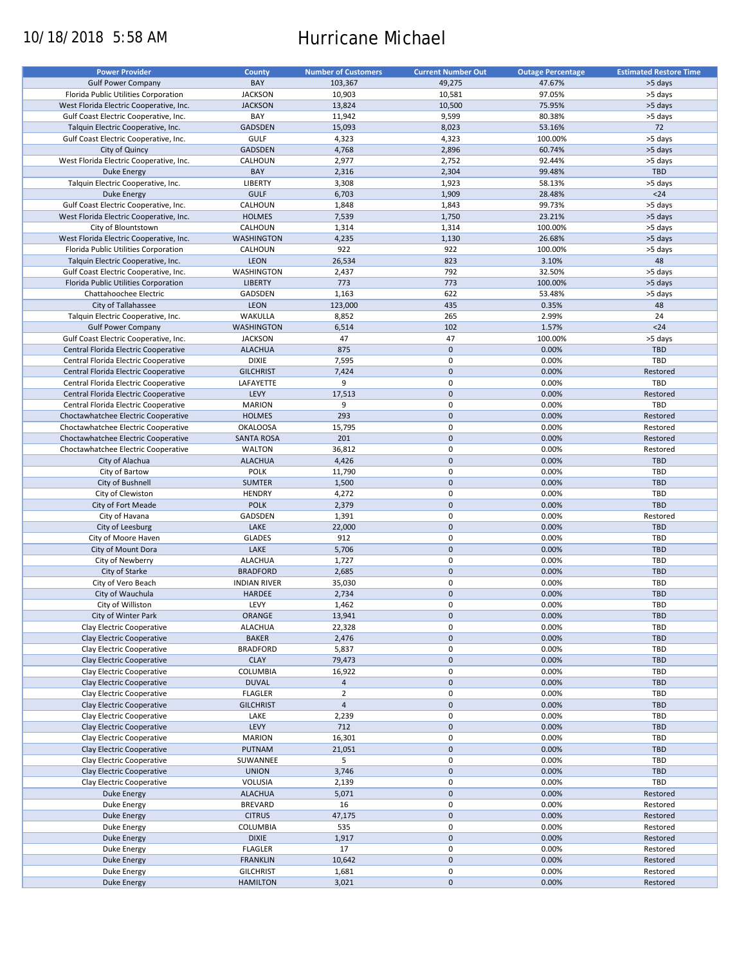# 10/18/2018 5:58 AM Hurricane Michael

| <b>Power Provider</b>                   | <b>County</b>       | <b>Number of Customers</b> | <b>Current Number Out</b> | <b>Outage Percentage</b> | <b>Estimated Restore Time</b> |
|-----------------------------------------|---------------------|----------------------------|---------------------------|--------------------------|-------------------------------|
|                                         |                     |                            |                           |                          |                               |
| <b>Gulf Power Company</b>               | BAY                 | 103,367                    | 49,275                    | 47.67%                   | >5 days                       |
| Florida Public Utilities Corporation    | <b>JACKSON</b>      | 10,903                     | 10,581                    | 97.05%                   | >5 days                       |
| West Florida Electric Cooperative, Inc. | <b>JACKSON</b>      | 13,824                     | 10,500                    | 75.95%                   | >5 days                       |
| Gulf Coast Electric Cooperative, Inc.   | BAY                 | 11,942                     | 9,599                     | 80.38%                   | >5 days                       |
| Talquin Electric Cooperative, Inc.      | GADSDEN             | 15,093                     | 8,023                     | 53.16%                   | 72                            |
| Gulf Coast Electric Cooperative, Inc.   | GULF                | 4,323                      | 4,323                     | 100.00%                  | >5 days                       |
|                                         |                     |                            |                           |                          |                               |
| City of Quincy                          | <b>GADSDEN</b>      | 4,768                      | 2,896                     | 60.74%                   | >5 days                       |
| West Florida Electric Cooperative, Inc. | CALHOUN             | 2,977                      | 2,752                     | 92.44%                   | >5 days                       |
| <b>Duke Energy</b>                      | BAY                 | 2,316                      | 2,304                     | 99.48%                   | <b>TBD</b>                    |
| Talquin Electric Cooperative, Inc.      | LIBERTY             | 3,308                      | 1,923                     | 58.13%                   | >5 days                       |
| Duke Energy                             | <b>GULF</b>         | 6,703                      | 1,909                     | 28.48%                   | $24$                          |
| Gulf Coast Electric Cooperative, Inc.   | CALHOUN             | 1,848                      | 1,843                     | 99.73%                   | >5 days                       |
| West Florida Electric Cooperative, Inc. | <b>HOLMES</b>       | 7,539                      | 1,750                     | 23.21%                   | >5 days                       |
|                                         |                     |                            |                           |                          |                               |
| City of Blountstown                     | CALHOUN             | 1,314                      | 1,314                     | 100.00%                  | >5 days                       |
| West Florida Electric Cooperative, Inc. | <b>WASHINGTON</b>   | 4,235                      | 1,130                     | 26.68%                   | >5 days                       |
| Florida Public Utilities Corporation    | CALHOUN             | 922                        | 922                       | 100.00%                  | >5 days                       |
| Talquin Electric Cooperative, Inc.      | LEON                | 26,534                     | 823                       | 3.10%                    | 48                            |
| Gulf Coast Electric Cooperative, Inc.   | WASHINGTON          | 2,437                      | 792                       | 32.50%                   | >5 days                       |
| Florida Public Utilities Corporation    | <b>LIBERTY</b>      | 773                        | 773                       | 100.00%                  | >5 days                       |
|                                         |                     |                            |                           |                          |                               |
| Chattahoochee Electric                  | GADSDEN             | 1,163                      | 622                       | 53.48%                   | >5 days                       |
| City of Tallahassee                     | <b>LEON</b>         | 123,000                    | 435                       | 0.35%                    | 48                            |
| Talquin Electric Cooperative, Inc.      | WAKULLA             | 8,852                      | 265                       | 2.99%                    | 24                            |
| <b>Gulf Power Company</b>               | <b>WASHINGTON</b>   | 6,514                      | 102                       | 1.57%                    | $24$                          |
| Gulf Coast Electric Cooperative, Inc.   | <b>JACKSON</b>      | 47                         | 47                        | 100.00%                  | >5 days                       |
| Central Florida Electric Cooperative    | <b>ALACHUA</b>      | 875                        | $\pmb{0}$                 | 0.00%                    | <b>TBD</b>                    |
|                                         |                     |                            |                           |                          | TBD                           |
| Central Florida Electric Cooperative    | <b>DIXIE</b>        | 7,595                      | $\mathbf 0$               | 0.00%                    |                               |
| Central Florida Electric Cooperative    | <b>GILCHRIST</b>    | 7,424                      | $\mathbf 0$               | 0.00%                    | Restored                      |
| Central Florida Electric Cooperative    | LAFAYETTE           | 9                          | $\pmb{0}$                 | 0.00%                    | TBD                           |
| Central Florida Electric Cooperative    | LEVY                | 17,513                     | $\mathbf 0$               | 0.00%                    | Restored                      |
| Central Florida Electric Cooperative    | <b>MARION</b>       | 9                          | $\pmb{0}$                 | 0.00%                    | TBD                           |
| Choctawhatchee Electric Cooperative     | <b>HOLMES</b>       | 293                        | $\mathbf 0$               | 0.00%                    | Restored                      |
| Choctawhatchee Electric Cooperative     | <b>OKALOOSA</b>     | 15,795                     | $\pmb{0}$                 | 0.00%                    | Restored                      |
|                                         |                     |                            |                           |                          |                               |
| Choctawhatchee Electric Cooperative     | <b>SANTA ROSA</b>   | 201                        | $\mathbf 0$               | 0.00%                    | Restored                      |
| Choctawhatchee Electric Cooperative     | <b>WALTON</b>       | 36,812                     | $\pmb{0}$                 | 0.00%                    | Restored                      |
| City of Alachua                         | <b>ALACHUA</b>      | 4,426                      | $\mathbf 0$               | 0.00%                    | <b>TBD</b>                    |
| City of Bartow                          | <b>POLK</b>         | 11,790                     | 0                         | 0.00%                    | TBD                           |
| City of Bushnell                        | <b>SUMTER</b>       | 1,500                      | $\mathbf 0$               | 0.00%                    | <b>TBD</b>                    |
| City of Clewiston                       | <b>HENDRY</b>       | 4,272                      | $\pmb{0}$                 | 0.00%                    | TBD                           |
| City of Fort Meade                      | <b>POLK</b>         | 2,379                      | $\mathbf 0$               | 0.00%                    | TBD                           |
|                                         |                     |                            | 0                         |                          |                               |
| City of Havana                          | GADSDEN             | 1,391                      |                           | 0.00%                    | Restored                      |
| City of Leesburg                        | LAKE                | 22,000                     | $\mathbf 0$               | 0.00%                    | <b>TBD</b>                    |
| City of Moore Haven                     | <b>GLADES</b>       | 912                        | 0                         | 0.00%                    | TBD                           |
| City of Mount Dora                      | LAKE                | 5,706                      | $\mathbf 0$               | 0.00%                    | <b>TBD</b>                    |
| City of Newberry                        | <b>ALACHUA</b>      | 1,727                      | 0                         | 0.00%                    | TBD                           |
| City of Starke                          | <b>BRADFORD</b>     | 2,685                      | $\mathbf 0$               | 0.00%                    | <b>TBD</b>                    |
| City of Vero Beach                      | <b>INDIAN RIVER</b> | 35,030                     | 0                         | 0.00%                    | <b>TBD</b>                    |
|                                         |                     |                            |                           |                          |                               |
| City of Wauchula                        | HARDEE              | 2,734                      | $\pmb{0}$                 | 0.00%                    | <b>TBD</b>                    |
| City of Williston                       | LEVY                | 1,462                      | $\mathbf 0$               | 0.00%                    | TBD                           |
| City of Winter Park                     | ORANGE              | 13,941                     | $\pmb{0}$                 | 0.00%                    | TBD                           |
| Clay Electric Cooperative               | <b>ALACHUA</b>      | 22,328                     | 0                         | 0.00%                    | TBD                           |
| Clay Electric Cooperative               | <b>BAKER</b>        | 2,476                      | $\pmb{0}$                 | 0.00%                    | <b>TBD</b>                    |
| Clay Electric Cooperative               | <b>BRADFORD</b>     | 5,837                      | 0                         | 0.00%                    | TBD                           |
| Clay Electric Cooperative               | <b>CLAY</b>         | 79,473                     | $\mathsf{O}\xspace$       | 0.00%                    | TBD                           |
|                                         | <b>COLUMBIA</b>     |                            | $\pmb{0}$                 |                          |                               |
| Clay Electric Cooperative               |                     | 16,922                     |                           | 0.00%                    | TBD                           |
| Clay Electric Cooperative               | <b>DUVAL</b>        | $\overline{4}$             | $\mathsf{O}\xspace$       | 0.00%                    | TBD                           |
| Clay Electric Cooperative               | <b>FLAGLER</b>      | $\overline{2}$             | 0                         | 0.00%                    | TBD                           |
| Clay Electric Cooperative               | <b>GILCHRIST</b>    | $\overline{4}$             | $\mathsf{O}\xspace$       | 0.00%                    | <b>TBD</b>                    |
| Clay Electric Cooperative               | LAKE                | 2,239                      | 0                         | 0.00%                    | TBD                           |
| Clay Electric Cooperative               | LEVY                | 712                        | $\pmb{0}$                 | 0.00%                    | <b>TBD</b>                    |
| Clay Electric Cooperative               | <b>MARION</b>       | 16,301                     | 0                         | 0.00%                    | TBD                           |
| Clay Electric Cooperative               | PUTNAM              | 21,051                     | $\pmb{0}$                 | 0.00%                    | <b>TBD</b>                    |
|                                         |                     |                            |                           |                          |                               |
| Clay Electric Cooperative               | SUWANNEE            | 5                          | $\pmb{0}$                 | 0.00%                    | TBD                           |
| Clay Electric Cooperative               | <b>UNION</b>        | 3,746                      | $\pmb{0}$                 | 0.00%                    | <b>TBD</b>                    |
| Clay Electric Cooperative               | VOLUSIA             | 2,139                      | 0                         | 0.00%                    | TBD                           |
| Duke Energy                             | <b>ALACHUA</b>      | 5,071                      | $\pmb{0}$                 | 0.00%                    | Restored                      |
| Duke Energy                             | <b>BREVARD</b>      | 16                         | $\pmb{0}$                 | 0.00%                    | Restored                      |
| Duke Energy                             | <b>CITRUS</b>       | 47,175                     | $\pmb{0}$                 | 0.00%                    | Restored                      |
|                                         |                     |                            | 0                         |                          |                               |
| Duke Energy                             | COLUMBIA            | 535                        |                           | 0.00%                    | Restored                      |
| <b>Duke Energy</b>                      | <b>DIXIE</b>        | 1,917                      | $\pmb{0}$                 | 0.00%                    | Restored                      |
| Duke Energy                             | <b>FLAGLER</b>      | 17                         | 0                         | 0.00%                    | Restored                      |
| <b>Duke Energy</b>                      | <b>FRANKLIN</b>     | 10,642                     | $\pmb{0}$                 | 0.00%                    | Restored                      |
| Duke Energy                             | <b>GILCHRIST</b>    | 1,681                      | 0                         | 0.00%                    | Restored                      |
| Duke Energy                             | <b>HAMILTON</b>     | 3,021                      | $\pmb{0}$                 | 0.00%                    | Restored                      |
|                                         |                     |                            |                           |                          |                               |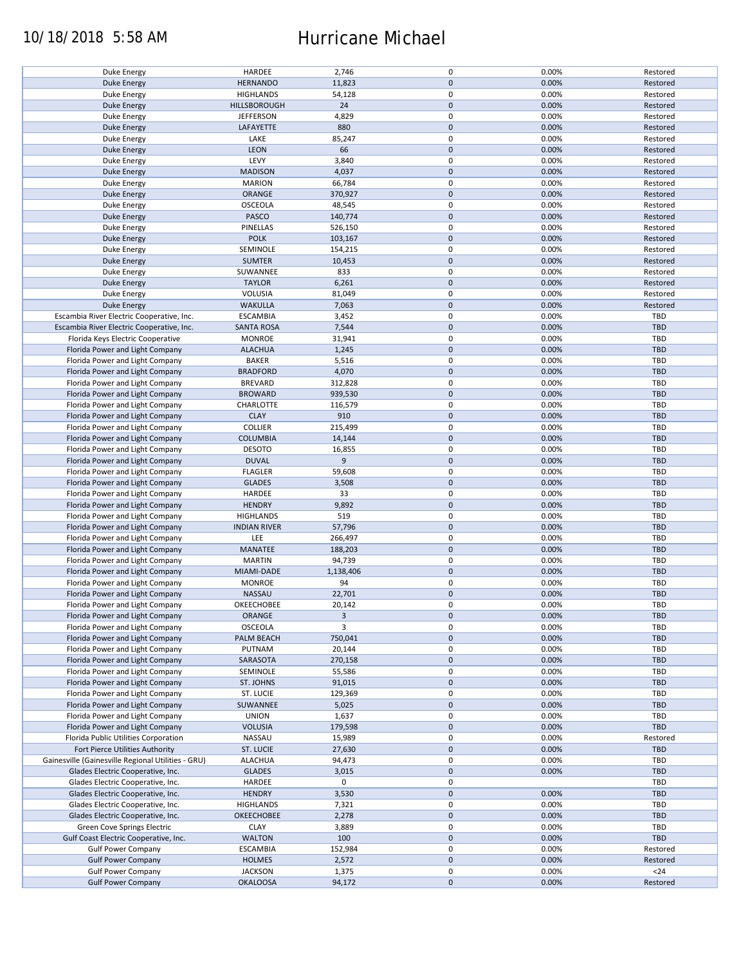### 10/18/2018 5:58 AM Hurricane Michael

| Duke Energy                                        | HARDEE              | 2,746     | 0           | 0.00% | Restored   |
|----------------------------------------------------|---------------------|-----------|-------------|-------|------------|
| <b>Duke Energy</b>                                 | <b>HERNANDO</b>     | 11,823    | $\pmb{0}$   | 0.00% | Restored   |
| Duke Energy                                        | <b>HIGHLANDS</b>    | 54,128    | 0           | 0.00% | Restored   |
|                                                    |                     |           | $\pmb{0}$   |       |            |
| <b>Duke Energy</b>                                 | HILLSBOROUGH        | 24        |             | 0.00% | Restored   |
| Duke Energy                                        | <b>JEFFERSON</b>    | 4,829     | 0           | 0.00% | Restored   |
| Duke Energy                                        | LAFAYETTE           | 880       | $\mathbf 0$ | 0.00% | Restored   |
|                                                    |                     |           | 0           |       |            |
| Duke Energy                                        | LAKE                | 85,247    |             | 0.00% | Restored   |
| Duke Energy                                        | <b>LEON</b>         | 66        | $\pmb{0}$   | 0.00% | Restored   |
| Duke Energy                                        | LEVY                | 3,840     | 0           | 0.00% | Restored   |
| <b>Duke Energy</b>                                 |                     |           | $\pmb{0}$   | 0.00% |            |
|                                                    | <b>MADISON</b>      | 4,037     |             |       | Restored   |
| Duke Energy                                        | <b>MARION</b>       | 66,784    | 0           | 0.00% | Restored   |
| <b>Duke Energy</b>                                 | ORANGE              | 370,927   | $\pmb{0}$   | 0.00% | Restored   |
| Duke Energy                                        | OSCEOLA             | 48,545    | 0           | 0.00% | Restored   |
|                                                    |                     |           |             |       |            |
| Duke Energy                                        | PASCO               | 140,774   | $\mathbf 0$ | 0.00% | Restored   |
| Duke Energy                                        | PINELLAS            | 526,150   | 0           | 0.00% | Restored   |
| <b>Duke Energy</b>                                 | <b>POLK</b>         | 103,167   | $\mathbf 0$ | 0.00% | Restored   |
|                                                    |                     |           |             |       |            |
| Duke Energy                                        | SEMINOLE            | 154,215   | 0           | 0.00% | Restored   |
| <b>Duke Energy</b>                                 | <b>SUMTER</b>       | 10,453    | $\pmb{0}$   | 0.00% | Restored   |
| Duke Energy                                        | SUWANNEE            | 833       | $\pmb{0}$   | 0.00% | Restored   |
|                                                    |                     |           |             |       |            |
| <b>Duke Energy</b>                                 | <b>TAYLOR</b>       | 6,261     | $\pmb{0}$   | 0.00% | Restored   |
| Duke Energy                                        | <b>VOLUSIA</b>      | 81,049    | 0           | 0.00% | Restored   |
| <b>Duke Energy</b>                                 | <b>WAKULLA</b>      | 7,063     | $\pmb{0}$   | 0.00% | Restored   |
|                                                    |                     |           |             |       |            |
| Escambia River Electric Cooperative, Inc.          | <b>ESCAMBIA</b>     | 3,452     | 0           | 0.00% | <b>TBD</b> |
| Escambia River Electric Cooperative, Inc.          | <b>SANTA ROSA</b>   | 7,544     | $\pmb{0}$   | 0.00% | <b>TBD</b> |
| Florida Keys Electric Cooperative                  | <b>MONROE</b>       | 31,941    | $\mathbf 0$ | 0.00% | <b>TBD</b> |
|                                                    |                     |           |             |       |            |
| Florida Power and Light Company                    | <b>ALACHUA</b>      | 1,245     | $\pmb{0}$   | 0.00% | <b>TBD</b> |
| Florida Power and Light Company                    | <b>BAKER</b>        | 5,516     | $\mathbf 0$ | 0.00% | TBD        |
| Florida Power and Light Company                    | <b>BRADFORD</b>     | 4,070     | $\pmb{0}$   | 0.00% | <b>TBD</b> |
|                                                    |                     |           |             |       |            |
| Florida Power and Light Company                    | <b>BREVARD</b>      | 312,828   | $\mathbf 0$ | 0.00% | <b>TBD</b> |
| Florida Power and Light Company                    | <b>BROWARD</b>      | 939,530   | $\pmb{0}$   | 0.00% | <b>TBD</b> |
| Florida Power and Light Company                    | CHARLOTTE           | 116,579   | $\mathbf 0$ | 0.00% | TBD        |
|                                                    |                     |           |             |       |            |
| Florida Power and Light Company                    | <b>CLAY</b>         | 910       | $\pmb{0}$   | 0.00% | <b>TBD</b> |
| Florida Power and Light Company                    | <b>COLLIER</b>      | 215,499   | 0           | 0.00% | TBD        |
| Florida Power and Light Company                    | <b>COLUMBIA</b>     | 14,144    | $\pmb{0}$   | 0.00% | <b>TBD</b> |
|                                                    |                     |           |             |       |            |
| Florida Power and Light Company                    | <b>DESOTO</b>       | 16,855    | $\pmb{0}$   | 0.00% | <b>TBD</b> |
| Florida Power and Light Company                    | <b>DUVAL</b>        | 9         | $\mathbf 0$ | 0.00% | <b>TBD</b> |
| Florida Power and Light Company                    | <b>FLAGLER</b>      | 59,608    | 0           | 0.00% | TBD        |
|                                                    |                     |           |             |       |            |
| Florida Power and Light Company                    | <b>GLADES</b>       | 3,508     | $\mathbf 0$ | 0.00% | <b>TBD</b> |
| Florida Power and Light Company                    | HARDEE              | 33        | 0           | 0.00% | TBD        |
| Florida Power and Light Company                    | <b>HENDRY</b>       | 9,892     | $\pmb{0}$   | 0.00% | <b>TBD</b> |
|                                                    |                     |           |             |       |            |
| Florida Power and Light Company                    | <b>HIGHLANDS</b>    | 519       | 0           | 0.00% | TBD        |
| Florida Power and Light Company                    | <b>INDIAN RIVER</b> | 57,796    | $\pmb{0}$   | 0.00% | <b>TBD</b> |
| Florida Power and Light Company                    | LEE                 | 266,497   | 0           | 0.00% | <b>TBD</b> |
|                                                    |                     |           |             |       |            |
| Florida Power and Light Company                    | MANATEE             | 188,203   | $\mathbf 0$ | 0.00% | <b>TBD</b> |
| Florida Power and Light Company                    | <b>MARTIN</b>       | 94,739    | 0           | 0.00% | TBD        |
| Florida Power and Light Company                    | MIAMI-DADE          | 1,138,406 | $\mathbf 0$ | 0.00% | <b>TBD</b> |
|                                                    |                     |           |             |       |            |
| Florida Power and Light Company                    | <b>MONROE</b>       | 94        | 0           | 0.00% | TBD        |
| Florida Power and Light Company                    | NASSAU              | 22,701    | $\pmb{0}$   | 0.00% | <b>TBD</b> |
| Florida Power and Light Company                    | OKEECHOBEE          | 20,142    | $\mathbf 0$ | 0.00% | TBD        |
|                                                    |                     |           |             |       |            |
| Florida Power and Light Company                    | ORANGE              | 3         | $\pmb{0}$   | 0.00% | <b>TBD</b> |
| Florida Power and Light Company                    | OSCEOLA             | 3         | 0           | 0.00% | TBD        |
| Florida Power and Light Company                    | PALM BEACH          | 750,041   | $\pmb{0}$   | 0.00% | <b>TBD</b> |
|                                                    |                     |           |             |       |            |
| Florida Power and Light Company                    | PUTNAM              | 20,144    | 0           | 0.00% | TBD        |
| Florida Power and Light Company                    | SARASOTA            | 270,158   | $\pmb{0}$   | 0.00% | <b>TBD</b> |
| Florida Power and Light Company                    | SEMINOLE            | 55,586    | 0           | 0.00% | TBD        |
|                                                    |                     |           |             |       |            |
| Florida Power and Light Company                    | ST. JOHNS           | 91,015    | $\pmb{0}$   | 0.00% | <b>TBD</b> |
| Florida Power and Light Company                    | ST. LUCIE           | 129,369   | 0           | 0.00% | TBD        |
| Florida Power and Light Company                    | SUWANNEE            | 5,025     | $\pmb{0}$   | 0.00% | <b>TBD</b> |
|                                                    |                     |           |             |       |            |
| Florida Power and Light Company                    | <b>UNION</b>        | 1,637     | 0           | 0.00% | TBD        |
| Florida Power and Light Company                    | <b>VOLUSIA</b>      | 179,598   | $\mathbf 0$ | 0.00% | <b>TBD</b> |
| Florida Public Utilities Corporation               | NASSAU              | 15,989    | 0           | 0.00% | Restored   |
|                                                    |                     |           |             |       |            |
| Fort Pierce Utilities Authority                    | ST. LUCIE           | 27,630    | 0           | 0.00% | <b>TBD</b> |
| Gainesville (Gainesville Regional Utilities - GRU) | <b>ALACHUA</b>      | 94,473    | 0           | 0.00% | TBD        |
| Glades Electric Cooperative, Inc.                  | <b>GLADES</b>       | 3,015     | $\pmb{0}$   | 0.00% | <b>TBD</b> |
|                                                    |                     |           |             |       |            |
| Glades Electric Cooperative, Inc.                  | HARDEE              | 0         | 0           |       | TBD        |
| Glades Electric Cooperative, Inc.                  | <b>HENDRY</b>       | 3,530     | $\pmb{0}$   | 0.00% | <b>TBD</b> |
| Glades Electric Cooperative, Inc.                  | <b>HIGHLANDS</b>    | 7,321     | 0           | 0.00% | TBD        |
|                                                    |                     |           |             |       |            |
| Glades Electric Cooperative, Inc.                  | OKEECHOBEE          | 2,278     | $\pmb{0}$   | 0.00% | <b>TBD</b> |
| Green Cove Springs Electric                        | <b>CLAY</b>         | 3,889     | $\pmb{0}$   | 0.00% | TBD        |
| Gulf Coast Electric Cooperative, Inc.              | <b>WALTON</b>       | 100       | $\pmb{0}$   | 0.00% | <b>TBD</b> |
|                                                    |                     |           |             |       |            |
| <b>Gulf Power Company</b>                          | <b>ESCAMBIA</b>     | 152,984   | 0           | 0.00% | Restored   |
| <b>Gulf Power Company</b>                          | <b>HOLMES</b>       | 2,572     | $\pmb{0}$   | 0.00% | Restored   |
| <b>Gulf Power Company</b>                          | <b>JACKSON</b>      | 1,375     | 0           | 0.00% | $24$       |
|                                                    |                     |           |             |       |            |
| <b>Gulf Power Company</b>                          | <b>OKALOOSA</b>     | 94,172    | $\mathbf 0$ | 0.00% | Restored   |